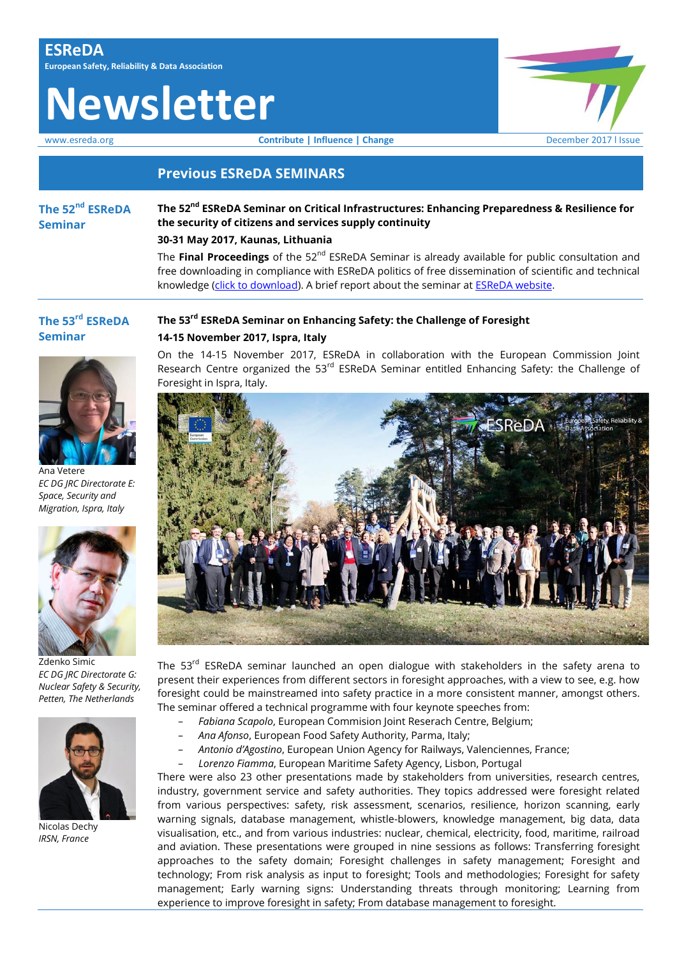# **Newsletter**

www.esreda.org **Contribute | Influence | Change** December 2017 I Issue

## **Previous ESReDA SEMINARS**

**The 52nd ESReDA Seminar**

## **The 52nd ESReDA Seminar on Critical Infrastructures: Enhancing Preparedness & Resilience for the security of citizens and services supply continuity**

## **30-31 May 2017, Kaunas, Lithuania**

The **Final Proceedings** of the 52<sup>nd</sup> ESReDA Seminar is already available for public consultation and free downloading in compliance with ESReDA politics of free dissemination of scientific and technical knowledge [\(click to download\)](https://www.esreda.org/wp-content/uploads/2017/12/EUR-28803-EN-proceedings_52nd_esreda_seminar.pdf). A brief report about the seminar at **ESReDA** website.

# **The 53rd ESReDA Seminar**



Ana Vetere *EC DG JRC Directorate E: Space, Security and Migration, Ispra, Italy* 



Zdenko Simic *EC DG JRC Directorate G: Nuclear Safety & Security, Petten, The Netherlands*



Nicolas Dechy *IRSN, France*

**The 53rd ESReDA Seminar on Enhancing Safety: the Challenge of Foresight 14-15 November 2017, Ispra, Italy**

On the 14-15 November 2017, ESReDA in collaboration with the European Commission Joint Research Centre organized the 53<sup>rd</sup> ESReDA Seminar entitled Enhancing Safety: the Challenge of Foresight in Ispra, Italy.



The 53<sup>rd</sup> ESReDA seminar launched an open dialogue with stakeholders in the safety arena to present their experiences from different sectors in foresight approaches, with a view to see, e.g. how foresight could be mainstreamed into safety practice in a more consistent manner, amongst others. The seminar offered a technical programme with four keynote speeches from:

- − *Fabiana Scapolo*, European Commision Joint Reserach Centre, Belgium;
- − *Ana Afonso*, European Food Safety Authority, Parma, Italy;
- − *Antonio d'Agostino*, European Union Agency for Railways, Valenciennes, France;
- − *Lorenzo Fiamma*, European Maritime Safety Agency, Lisbon, Portugal

There were also 23 other presentations made by stakeholders from universities, research centres, industry, government service and safety authorities. They topics addressed were foresight related from various perspectives: safety, risk assessment, scenarios, resilience, horizon scanning, early warning signals, database management, whistle-blowers, knowledge management, big data, data visualisation, etc., and from various industries: nuclear, chemical, electricity, food, maritime, railroad and aviation. These presentations were grouped in nine sessions as follows: Transferring foresight approaches to the safety domain; Foresight challenges in safety management; Foresight and technology; From risk analysis as input to foresight; Tools and methodologies; Foresight for safety management; Early warning signs: Understanding threats through monitoring; Learning from experience to improve foresight in safety; From database management to foresight.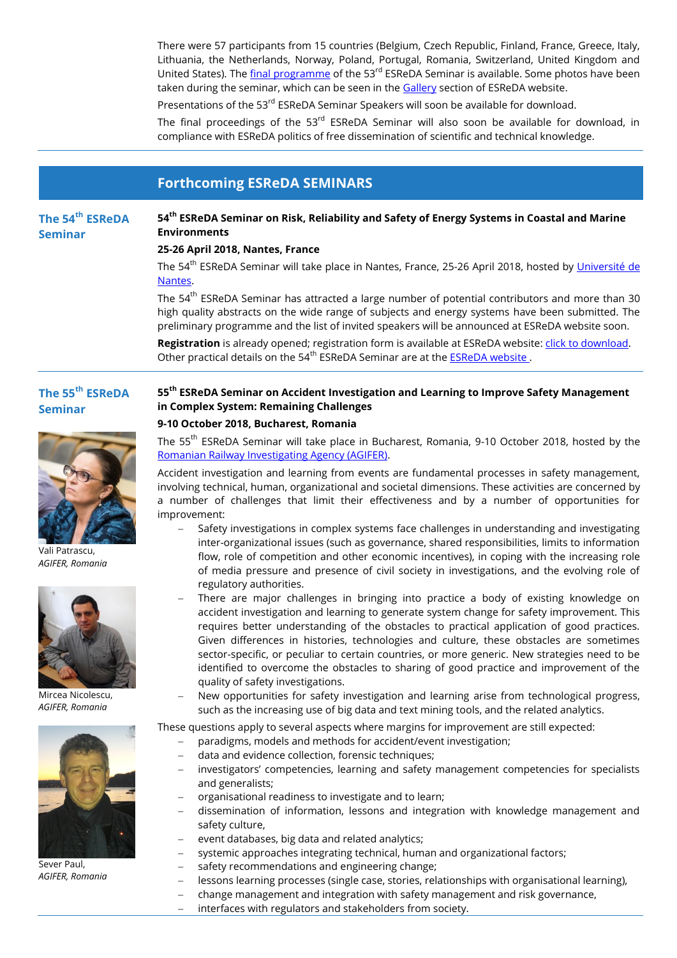There were 57 participants from 15 countries (Belgium, Czech Republic, Finland, France, Greece, Italy, Lithuania, the Netherlands, Norway, Poland, Portugal, Romania, Switzerland, United Kingdom and United States). The [final programme](https://www.esreda.org/wp-content/uploads/2017/12/@-53rd_ESReDA_Seminar_Programme_final.pdf) of the 53<sup>rd</sup> ESReDA Seminar is available. Some photos have been taken during the seminar, which can be seen in th[e Gallery](https://www.esreda.org/gallery/) section of ESReDA website.

Presentations of the 53<sup>rd</sup> ESReDA Seminar Speakers will soon be available for download.

The final proceedings of the  $53<sup>rd</sup>$  ESReDA Seminar will also soon be available for download, in compliance with ESReDA politics of free dissemination of scientific and technical knowledge.

## **Forthcoming ESReDA SEMINARS**

#### **The 54th ESReDA 54th ESReDA Seminar on Risk, Reliability and Safety of Energy Systems in Coastal and Marine Environments**

### **25-26 April 2018, Nantes, France**

The 54<sup>th</sup> ESReDA Seminar will take place in Nantes, France, 25-26 April 2018, hosted by <u>Université de</u> [Nantes.](http://www.univ-nantes.fr/english-version/) 

The 54<sup>th</sup> ESReDA Seminar has attracted a large number of potential contributors and more than 30 high quality abstracts on the wide range of subjects and energy systems have been submitted. The preliminary programme and the list of invited speakers will be announced at ESReDA website soon.

**Registration** is already opened; registration form is available at ESReDA website: [click to download.](https://www.esreda.org/wp-content/uploads/2017/08/54st_ESReDA_Seminar_Nantes-Registration-form.pdf) Other practical details on the 54<sup>th</sup> ESReDA Seminar are at the **ESReDA website**.

## **The 55th ESReDA Seminar**

**Seminar**



Vali Patrascu, *AGIFER, Romania*



Mircea Nicolescu, *AGIFER, Romania*



Sever Paul, *AGIFER, Romania*

## **55th ESReDA Seminar on Accident Investigation and Learning to Improve Safety Management in Complex System: Remaining Challenges**

### **9-10 October 2018, Bucharest, Romania**

The 55<sup>th</sup> ESReDA Seminar will take place in Bucharest, Romania, 9-10 October 2018, hosted by the [Romanian Railway Investigating Agency \(AGIFER\).](http://www.agifer.ro/)

Accident investigation and learning from events are fundamental processes in safety management, involving technical, human, organizational and societal dimensions. These activities are concerned by a number of challenges that limit their effectiveness and by a number of opportunities for improvement:

- Safety investigations in complex systems face challenges in understanding and investigating inter-organizational issues (such as governance, shared responsibilities, limits to information flow, role of competition and other economic incentives), in coping with the increasing role of media pressure and presence of civil society in investigations, and the evolving role of regulatory authorities.
- There are major challenges in bringing into practice a body of existing knowledge on accident investigation and learning to generate system change for safety improvement. This requires better understanding of the obstacles to practical application of good practices. Given differences in histories, technologies and culture, these obstacles are sometimes sector-specific, or peculiar to certain countries, or more generic. New strategies need to be identified to overcome the obstacles to sharing of good practice and improvement of the quality of safety investigations.
- New opportunities for safety investigation and learning arise from technological progress, such as the increasing use of big data and text mining tools, and the related analytics.

These questions apply to several aspects where margins for improvement are still expected:

- paradigms, models and methods for accident/event investigation;
- data and evidence collection, forensic techniques;
- investigators' competencies, learning and safety management competencies for specialists and generalists;
- organisational readiness to investigate and to learn;
- dissemination of information, lessons and integration with knowledge management and safety culture,
- event databases, big data and related analytics;
- systemic approaches integrating technical, human and organizational factors;
- safety recommendations and engineering change;
- lessons learning processes (single case, stories, relationships with organisational learning),
- change management and integration with safety management and risk governance,
- interfaces with regulators and stakeholders from society.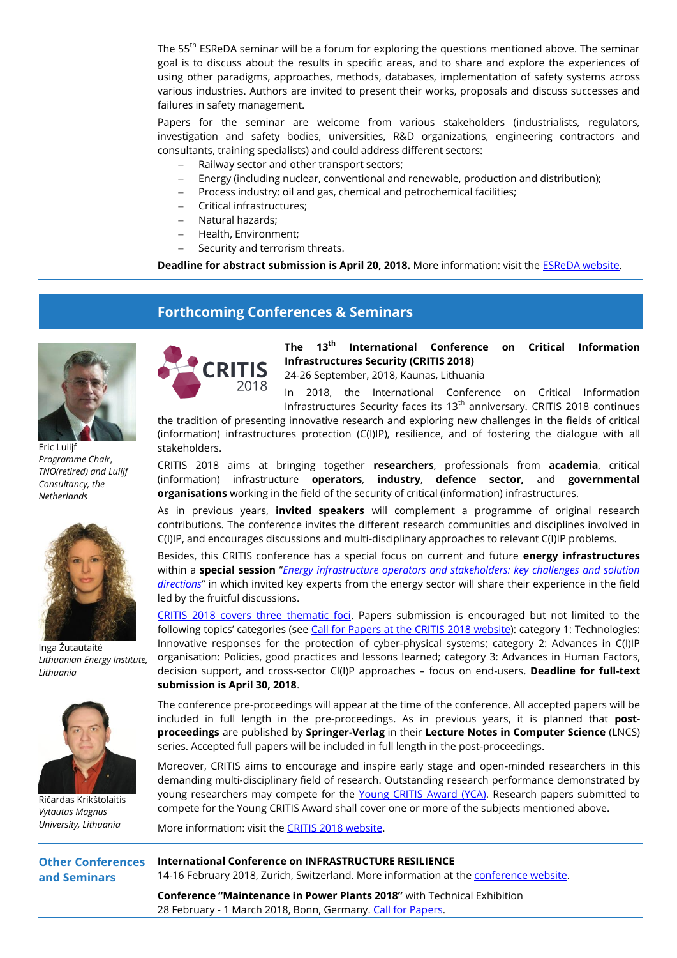The 55<sup>th</sup> ESReDA seminar will be a forum for exploring the questions mentioned above. The seminar goal is to discuss about the results in specific areas, and to share and explore the experiences of using other paradigms, approaches, methods, databases, implementation of safety systems across various industries. Authors are invited to present their works, proposals and discuss successes and failures in safety management.

Papers for the seminar are welcome from various stakeholders (industrialists, regulators, investigation and safety bodies, universities, R&D organizations, engineering contractors and consultants, training specialists) and could address different sectors:

- Railway sector and other transport sectors;
- Energy (including nuclear, conventional and renewable, production and distribution);
- Process industry: oil and gas, chemical and petrochemical facilities;
- Critical infrastructures;
- Natural hazards;
- Health, Environment;
- Security and terrorism threats.

**Deadline for abstract submission is April 20, 2018.** More information: visit the [ESReDA website.](https://www.esreda.org/event/55th-esreda-seminar/)

## **Forthcoming Conferences & Seminars**



Eric Luiijf *Programme Chair*, *TNO(retired) and Luiijf Consultancy, the Netherlands*



Inga Žutautaitė *Lithuanian Energy Institute, Lithuania*



Ričardas Krikštolaitis *Vytautas Magnus University, Lithuania*



**The 13th International Conference on Critical Information Infrastructures Security (CRITIS 2018)**

24-26 September, 2018, Kaunas, Lithuania

2018, the International Conference on Critical Information Infrastructures Security faces its  $13<sup>th</sup>$  anniversary. CRITIS 2018 continues

the tradition of presenting innovative research and exploring new challenges in the fields of critical (information) infrastructures protection (C(I)IP), resilience, and of fostering the dialogue with all stakeholders.

CRITIS 2018 aims at bringing together **researchers**, professionals from **academia**, critical (information) infrastructure **operators**, **industry**, **defence sector,** and **governmental organisations** working in the field of the security of critical (information) infrastructures.

As in previous years, **invited speakers** will complement a programme of original research contributions. The conference invites the different research communities and disciplines involved in C(I)IP, and encourages discussions and multi-disciplinary approaches to relevant C(I)IP problems.

Besides, this CRITIS conference has a special focus on current and future **energy infrastructures** within a **special session** "*[Energy infrastructure operators and stakeholders: key challenges and solution](http://www.lei.lt/critis2018/operators.html)  [directions](http://www.lei.lt/critis2018/operators.html)*" in which invited key experts from the energy sector will share their experience in the field led by the fruitful discussions.

[CRITIS 2018 covers three thematic foci.](http://www.lei.lt/critis2018/call-for-papers.html) Papers submission is encouraged but not limited to the following topics' categories (see Call for Papers [at the CRITIS 2018 website\)](http://www.lei.lt/critis2018/call-for-papers.html): category 1: Technologies: Innovative responses for the protection of cyber-physical systems; category 2: Advances in C(I)IP organisation: Policies, good practices and lessons learned; category 3: Advances in Human Factors, decision support, and cross-sector CI(I)P approaches – focus on end-users. **Deadline for full-text submission is April 30, 2018**.

The conference pre-proceedings will appear at the time of the conference. All accepted papers will be included in full length in the pre-proceedings. As in previous years, it is planned that **postproceedings** are published by **Springer-Verlag** in their **Lecture Notes in Computer Science** (LNCS) series. Accepted full papers will be included in full length in the post-proceedings.

Moreover, CRITIS aims to encourage and inspire early stage and open-minded researchers in this demanding multi-disciplinary field of research. Outstanding research performance demonstrated by young researchers may compete for the [Young CRITIS Award \(YCA\).](http://www.lei.lt/critis2018/young-critis-award.html) Research papers submitted to compete for the Young CRITIS Award shall cover one or more of the subjects mentioned above.

More information: visit the [CRITIS 2018 website.](http://www.lei.lt/critis2018/index.html)

**Other Conferences and Seminars**

**International Conference on INFRASTRUCTURE RESILIENCE**  14-16 February 2018, Zurich, Switzerland. More information at the [conference website.](http://resilienceconference.ethz.ch/)

**Conference "Maintenance in Power Plants 2018"** with Technical Exhibition 28 February - 1 March 2018, Bonn, Germany. [Call for Papers.](https://www.vgb.org/en/instandhaltung_kraftwerken2018.html)